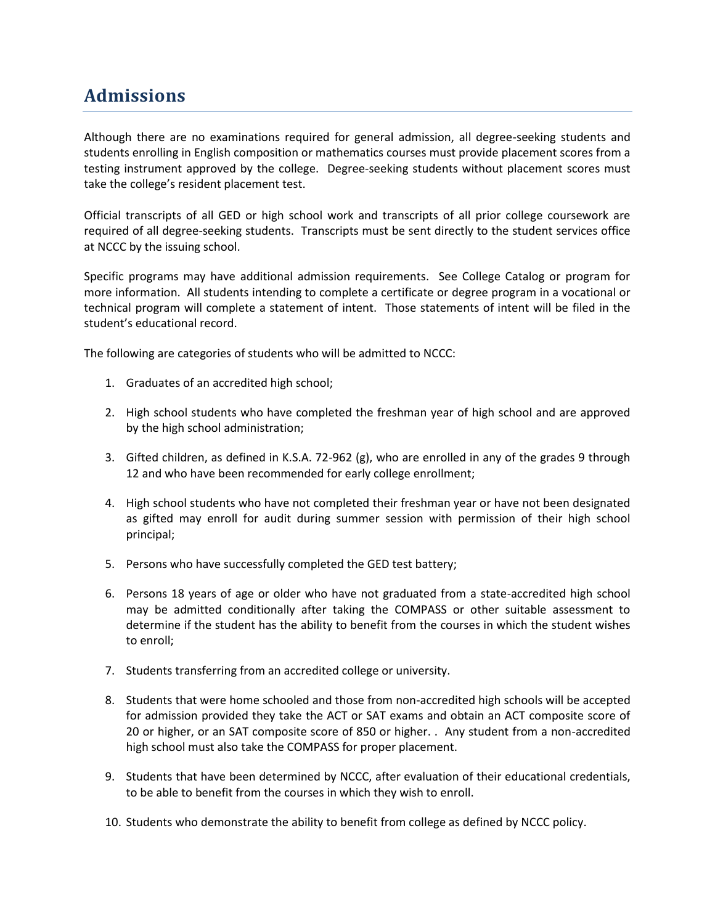## **Admissions**

Although there are no examinations required for general admission, all degree-seeking students and students enrolling in English composition or mathematics courses must provide placement scores from a testing instrument approved by the college. Degree-seeking students without placement scores must take the college's resident placement test.

Official transcripts of all GED or high school work and transcripts of all prior college coursework are required of all degree-seeking students. Transcripts must be sent directly to the student services office at NCCC by the issuing school.

Specific programs may have additional admission requirements. See College Catalog or program for more information. All students intending to complete a certificate or degree program in a vocational or technical program will complete a statement of intent. Those statements of intent will be filed in the student's educational record.

The following are categories of students who will be admitted to NCCC:

- 1. Graduates of an accredited high school;
- 2. High school students who have completed the freshman year of high school and are approved by the high school administration;
- 3. Gifted children, as defined in K.S.A. 72-962 (g), who are enrolled in any of the grades 9 through 12 and who have been recommended for early college enrollment;
- 4. High school students who have not completed their freshman year or have not been designated as gifted may enroll for audit during summer session with permission of their high school principal;
- 5. Persons who have successfully completed the GED test battery;
- 6. Persons 18 years of age or older who have not graduated from a state-accredited high school may be admitted conditionally after taking the COMPASS or other suitable assessment to determine if the student has the ability to benefit from the courses in which the student wishes to enroll;
- 7. Students transferring from an accredited college or university.
- 8. Students that were home schooled and those from non-accredited high schools will be accepted for admission provided they take the ACT or SAT exams and obtain an ACT composite score of 20 or higher, or an SAT composite score of 850 or higher. . Any student from a non-accredited high school must also take the COMPASS for proper placement.
- 9. Students that have been determined by NCCC, after evaluation of their educational credentials, to be able to benefit from the courses in which they wish to enroll.
- 10. Students who demonstrate the ability to benefit from college as defined by NCCC policy.